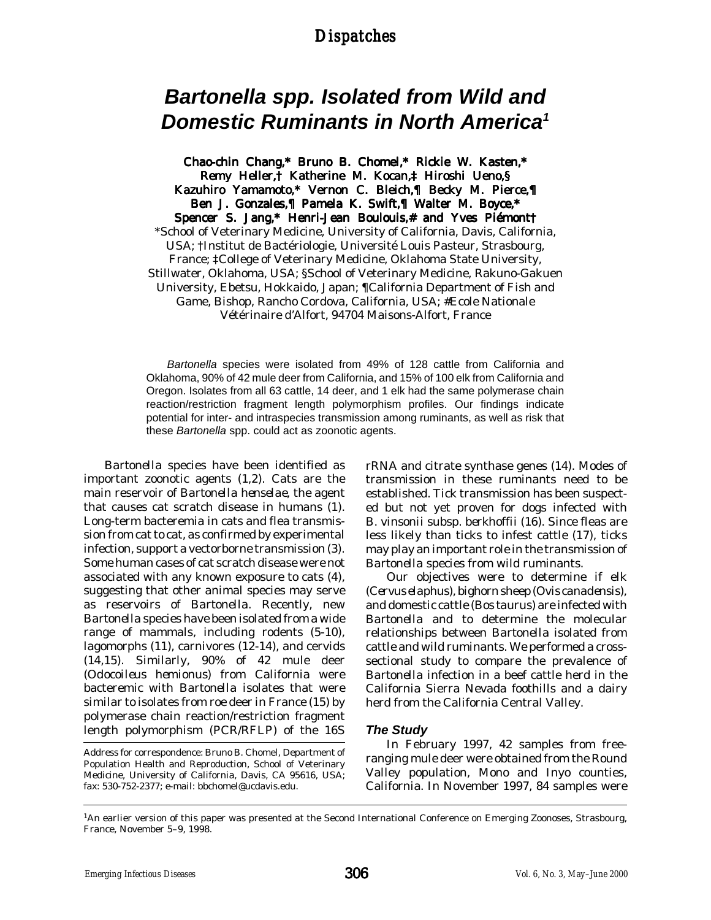### *Dispatches Dispatches*

# *Bartonella spp. Isolated from Wild and Domestic Ruminants in North America1*

Chao-chin Chang,\* Bruno B. Chomel,\* Rickie W. Kasten,\* Remy Heller,† Katherine M. Kocan,‡ Hiroshi Ueno,§ Kazuhiro Yamamoto,\* Vernon C. Bleich,¶ Becky M. Pierce,¶ Ben J. Gonzales,¶ Pamela K. Swift,¶ Walter M. Boyce,\* Spencer S. Jang,\* Henri-Jean Boulouis,# and Yves Piémont† \*School of Veterinary Medicine, University of California, Davis, California, USA; †Institut de Bactériologie, Université Louis Pasteur, Strasbourg, France; ‡College of Veterinary Medicine, Oklahoma State University, Stillwater, Oklahoma, USA; §School of Veterinary Medicine, Rakuno-Gakuen University, Ebetsu, Hokkaido, Japan; ¶California Department of Fish and Game, Bishop, Rancho Cordova, California, USA; #Ecole Nationale Vétérinaire d'Alfort, 94704 Maisons-Alfort, France

*Bartonella* species were isolated from 49% of 128 cattle from California and Oklahoma, 90% of 42 mule deer from California, and 15% of 100 elk from California and Oregon. Isolates from all 63 cattle, 14 deer, and 1 elk had the same polymerase chain reaction/restriction fragment length polymorphism profiles. Our findings indicate potential for inter- and intraspecies transmission among ruminants, as well as risk that these *Bartonella* spp. could act as zoonotic agents.

*Bartonella* species have been identified as important zoonotic agents (1,2). Cats are the main reservoir of *Bartonella henselae*, the agent that causes cat scratch disease in humans (1). Long-term bacteremia in cats and flea transmission from cat to cat, as confirmed by experimental infection, support a vectorborne transmission (3). Some human cases of cat scratch disease were not associated with any known exposure to cats (4), suggesting that other animal species may serve as reservoirs of *Bartonella*. Recently, new *Bartonella* species have been isolated from a wide range of mammals, including rodents (5-10), lagomorphs (11), carnivores (12-14), and cervids (14,15). Similarly, 90% of 42 mule deer (*Odocoileus hemionus*) from California were bacteremic with *Bartonella* isolates that were similar to isolates from roe deer in France (15) by polymerase chain reaction/restriction fragment length polymorphism (PCR/RFLP) of the 16S

rRNA and citrate synthase genes (14). Modes of transmission in these ruminants need to be established. Tick transmission has been suspected but not yet proven for dogs infected with *B. vinsonii* subsp. *berkhoffii* (16). Since fleas are less likely than ticks to infest cattle (17), ticks may play an important role in the transmission of *Bartonella* species from wild ruminants.

Our objectives were to determine if elk (*Cervus elaphus*), bighorn sheep (*Ovis canadensis*), and domestic cattle (*Bos taurus*) are infected with *Bartonella* and to determine the molecular relationships between *Bartonella* isolated from cattle and wild ruminants. We performed a crosssectional study to compare the prevalence of *Bartonella* infection in a beef cattle herd in the California Sierra Nevada foothills and a dairy herd from the California Central Valley.

### *The Study*

In February 1997, 42 samples from freeranging mule deer were obtained from the Round Valley population, Mono and Inyo counties, California. In November 1997, 84 samples were

Address for correspondence: Bruno B. Chomel, Department of Population Health and Reproduction, School of Veterinary Medicine, University of California, Davis, CA 95616, USA; fax: 530-752-2377; e-mail: bbchomel@ucdavis.edu.

<sup>1</sup>An earlier version of this paper was presented at the Second International Conference on Emerging Zoonoses, Strasbourg, France, November 5–9, 1998.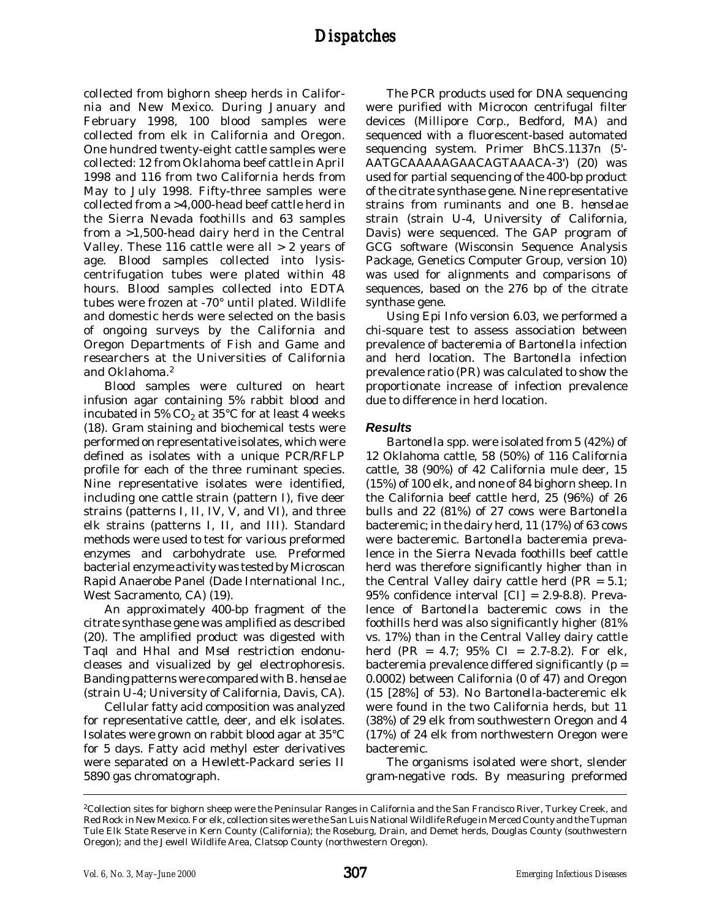collected from bighorn sheep herds in California and New Mexico. During January and February 1998, 100 blood samples were collected from elk in California and Oregon. One hundred twenty-eight cattle samples were collected: 12 from Oklahoma beef cattle in April 1998 and 116 from two California herds from May to July 1998. Fifty-three samples were collected from a >4,000-head beef cattle herd in the Sierra Nevada foothills and 63 samples from a >1,500-head dairy herd in the Central Valley. These 116 cattle were all  $> 2$  years of age. Blood samples collected into lysiscentrifugation tubes were plated within 48 hours. Blood samples collected into EDTA tubes were frozen at -70° until plated. Wildlife and domestic herds were selected on the basis of ongoing surveys by the California and Oregon Departments of Fish and Game and researchers at the Universities of California and Oklahoma.2

Blood samples were cultured on heart infusion agar containing 5% rabbit blood and incubated in 5%  $CO<sub>2</sub>$  at 35°C for at least 4 weeks (18). Gram staining and biochemical tests were performed on representative isolates, which were defined as isolates with a unique PCR/RFLP profile for each of the three ruminant species. Nine representative isolates were identified, including one cattle strain (pattern I), five deer strains (patterns I, II, IV, V, and VI), and three elk strains (patterns I, II, and III). Standard methods were used to test for various preformed enzymes and carbohydrate use. Preformed bacterial enzyme activity was tested by Microscan Rapid Anaerobe Panel (Dade International Inc., West Sacramento, CA) (19).

An approximately 400-bp fragment of the citrate synthase gene was amplified as described (20). The amplified product was digested with *Taq*I and *Hha*I and *Mse*I restriction endonucleases and visualized by gel electrophoresis. Banding patterns were compared with *B. henselae* (strain U-4; University of California, Davis, CA).

Cellular fatty acid composition was analyzed for representative cattle, deer, and elk isolates. Isolates were grown on rabbit blood agar at 35°C for 5 days. Fatty acid methyl ester derivatives were separated on a Hewlett-Packard series II 5890 gas chromatograph.

The PCR products used for DNA sequencing were purified with Microcon centrifugal filter devices (Millipore Corp., Bedford, MA) and sequenced with a fluorescent-based automated sequencing system. Primer BhCS.1137n (5'- AATGCAAAAAGAACAGTAAACA-3') (20) was used for partial sequencing of the 400-bp product of the citrate synthase gene. Nine representative strains from ruminants and one *B. henselae* strain (strain U-4, University of California, Davis) were sequenced. The GAP program of GCG software (Wisconsin Sequence Analysis Package, Genetics Computer Group, version 10) was used for alignments and comparisons of sequences, based on the 276 bp of the citrate synthase gene.

Using Epi Info version 6.03, we performed a chi-square test to assess association between prevalence of bacteremia of *Bartonella* infection and herd location. The *Bartonella* infection prevalence ratio (PR) was calculated to show the proportionate increase of infection prevalence due to difference in herd location.

### *Results*

*Bartonella* spp. were isolated from 5 (42%) of 12 Oklahoma cattle, 58 (50%) of 116 California cattle, 38 (90%) of 42 California mule deer, 15 (15%) of 100 elk, and none of 84 bighorn sheep. In the California beef cattle herd, 25 (96%) of 26 bulls and 22 (81%) of 27 cows were *Bartonella* bacteremic; in the dairy herd, 11 (17%) of 63 cows were bacteremic. *Bartonella* bacteremia prevalence in the Sierra Nevada foothills beef cattle herd was therefore significantly higher than in the Central Valley dairy cattle herd ( $PR = 5.1$ ; 95% confidence interval [CI] = 2.9-8.8). Prevalence of *Bartonella* bacteremic cows in the foothills herd was also significantly higher (81% vs. 17%) than in the Central Valley dairy cattle herd (PR = 4.7; 95% CI = 2.7-8.2). For elk, bacteremia prevalence differed significantly  $(p =$ 0.0002) between California (0 of 47) and Oregon (15 [28%] of 53). No *Bartonella*-bacteremic elk were found in the two California herds, but 11 (38%) of 29 elk from southwestern Oregon and 4 (17%) of 24 elk from northwestern Oregon were bacteremic.

The organisms isolated were short, slender gram-negative rods. By measuring preformed

<sup>2</sup>Collection sites for bighorn sheep were the Peninsular Ranges in California and the San Francisco River, Turkey Creek, and Red Rock in New Mexico. For elk, collection sites were the San Luis National Wildlife Refuge in Merced County and the Tupman Tule Elk State Reserve in Kern County (California); the Roseburg, Drain, and Demet herds, Douglas County (southwestern Oregon); and the Jewell Wildlife Area, Clatsop County (northwestern Oregon).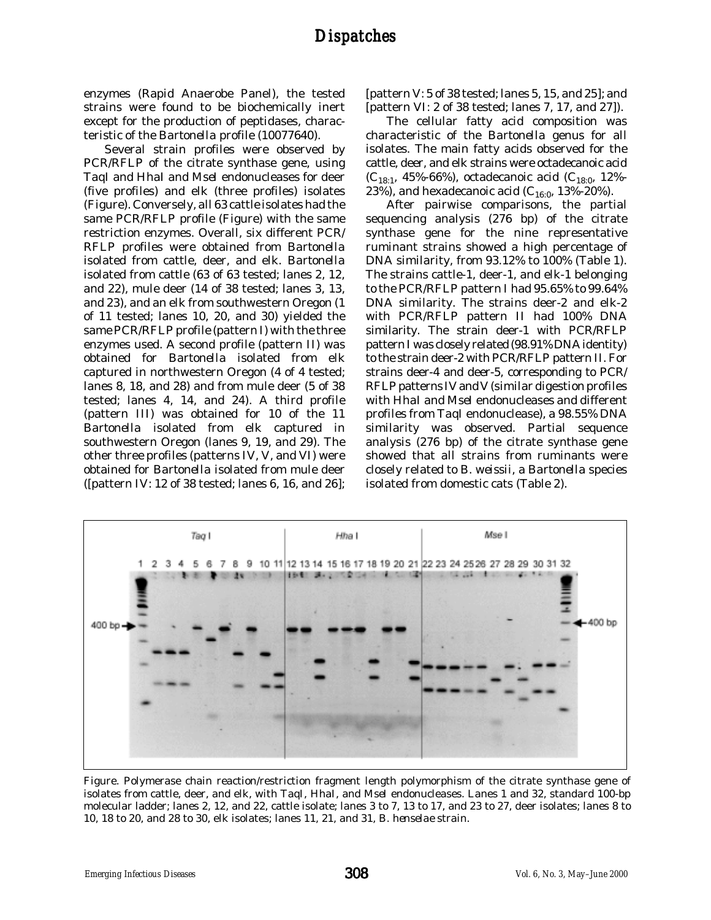enzymes (Rapid Anaerobe Panel), the tested strains were found to be biochemically inert except for the production of peptidases, characteristic of the *Bartonella* profile (10077640).

Several strain profiles were observed by PCR/RFLP of the citrate synthase gene, using *Taq*I and *Hha*I and *Mse*I endonucleases for deer (five profiles) and elk (three profiles) isolates (Figure). Conversely, all 63 cattle isolates had the same PCR/RFLP profile (Figure) with the same restriction enzymes. Overall, six different PCR/ RFLP profiles were obtained from *Bartonella* isolated from cattle, deer, and elk. *Bartonella* isolated from cattle (63 of 63 tested; lanes 2, 12, and 22), mule deer (14 of 38 tested; lanes 3, 13, and 23), and an elk from southwestern Oregon (1 of 11 tested; lanes 10, 20, and 30) yielded the same PCR/RFLP profile (pattern I) with the three enzymes used. A second profile (pattern II) was obtained for *Bartonella* isolated from elk captured in northwestern Oregon (4 of 4 tested; lanes 8, 18, and 28) and from mule deer (5 of 38 tested; lanes 4, 14, and 24). A third profile (pattern III) was obtained for 10 of the 11 *Bartonella* isolated from elk captured in southwestern Oregon (lanes 9, 19, and 29). The other three profiles (patterns IV, V, and VI) were obtained for *Bartonella* isolated from mule deer ([pattern IV: 12 of 38 tested; lanes 6, 16, and 26];

[pattern V: 5 of 38 tested; lanes 5, 15, and 25]; and [pattern VI: 2 of 38 tested; lanes 7, 17, and 27]).

The cellular fatty acid composition was characteristic of the *Bartonella* genus for all isolates. The main fatty acids observed for the cattle, deer, and elk strains were octadecanoic acid  $(C_{18:1}, 45\% - 66\%)$ , octadecanoic acid  $(C_{18:0}, 12\% - 66\%)$ 23%), and hexadecanoic acid ( $C_{16:0}$ , 13%-20%).

After pairwise comparisons, the partial sequencing analysis (276 bp) of the citrate synthase gene for the nine representative ruminant strains showed a high percentage of DNA similarity, from 93.12% to 100% (Table 1). The strains cattle-1, deer-1, and elk-1 belonging to the PCR/RFLP pattern I had 95.65% to 99.64% DNA similarity. The strains deer-2 and elk-2 with PCR/RFLP pattern II had 100% DNA similarity. The strain deer-1 with PCR/RFLP pattern I was closely related (98.91% DNA identity) to the strain deer-2 with PCR/RFLP pattern II. For strains deer-4 and deer-5, corresponding to PCR/ RFLP patterns IV and V (similar digestion profiles with *HhaI* and *MseI* endonucleases and different profiles from *TaqI* endonuclease), a 98.55% DNA similarity was observed. Partial sequence analysis (276 bp) of the citrate synthase gene showed that all strains from ruminants were closely related to *B. weissii*, a *Bartonella* species isolated from domestic cats (Table 2).



Figure. Polymerase chain reaction/restriction fragment length polymorphism of the citrate synthase gene of isolates from cattle, deer, and elk, with *Taq*I, *Hha*I, and *Mse*I endonucleases. Lanes 1 and 32, standard 100-bp molecular ladder; lanes 2, 12, and 22, cattle isolate; lanes 3 to 7, 13 to 17, and 23 to 27, deer isolates; lanes 8 to 10, 18 to 20, and 28 to 30, elk isolates; lanes 11, 21, and 31, *B. henselae* strain.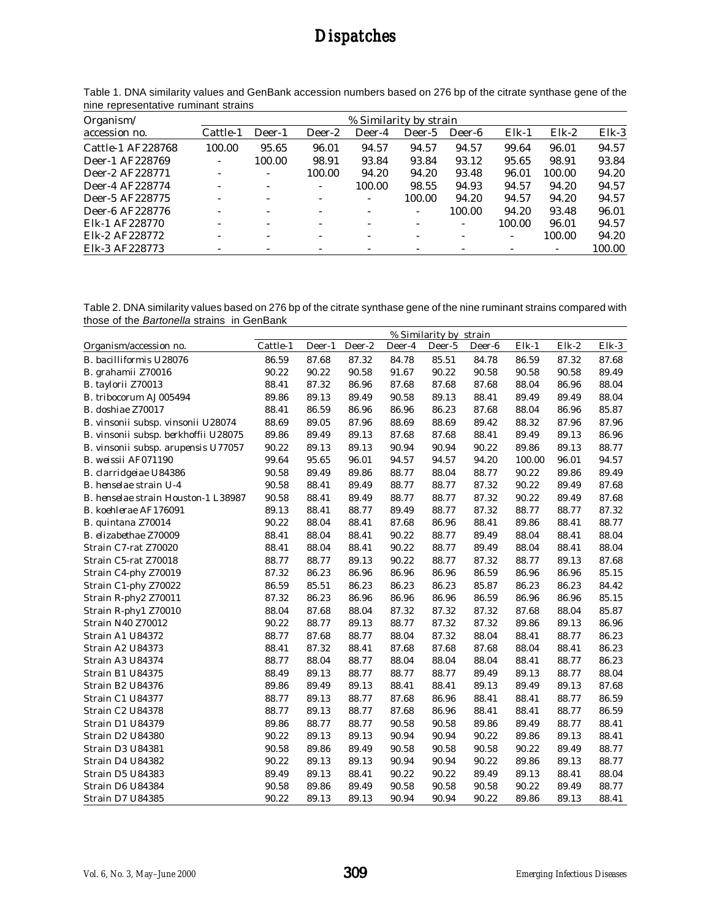## *Dispatches Dispatches*

| Organism/<br>accession no. | % Similarity by strain   |                          |                          |                          |        |        |         |          |          |  |  |
|----------------------------|--------------------------|--------------------------|--------------------------|--------------------------|--------|--------|---------|----------|----------|--|--|
|                            | Cattle-1                 | Deer-1                   | Deer-2                   | Deer-4                   | Deer-5 | Deer-6 | $Elk-1$ | $E$ lk-2 | $E$ lk-3 |  |  |
| Cattle-1 AF228768          | 100.00                   | 95.65                    | 96.01                    | 94.57                    | 94.57  | 94.57  | 99.64   | 96.01    | 94.57    |  |  |
| Deer-1 AF228769            | ٠                        | 100.00                   | 98.91                    | 93.84                    | 93.84  | 93.12  | 95.65   | 98.91    | 93.84    |  |  |
| Deer-2 AF228771            |                          | ۰                        | 100.00                   | 94.20                    | 94.20  | 93.48  | 96.01   | 100.00   | 94.20    |  |  |
| Deer-4 AF228774            | $\sim$                   | $\overline{\phantom{a}}$ | $\overline{\phantom{a}}$ | 100.00                   | 98.55  | 94.93  | 94.57   | 94.20    | 94.57    |  |  |
| Deer-5 AF228775            | ٠                        | ٠                        | ٠                        | ٠                        | 100.00 | 94.20  | 94.57   | 94.20    | 94.57    |  |  |
| Deer-6 AF228776            | $\overline{\phantom{a}}$ | $\overline{\phantom{a}}$ | ٠                        | $\overline{\phantom{0}}$ | ۰.     | 100.00 | 94.20   | 93.48    | 96.01    |  |  |
| Elk-1 AF228770             | $\overline{\phantom{0}}$ | $\overline{\phantom{0}}$ | $\overline{\phantom{a}}$ | $\overline{\phantom{a}}$ |        | ٠      | 100.00  | 96.01    | 94.57    |  |  |
| Elk-2 AF228772             |                          | $\overline{\phantom{a}}$ | ٠                        | $\overline{\phantom{a}}$ |        |        |         | 100.00   | 94.20    |  |  |
| Elk-3 AF228773             |                          |                          |                          |                          |        |        |         |          | 100.00   |  |  |

Table 1. DNA similarity values and GenBank accession numbers based on 276 bp of the citrate synthase gene of the nine representative ruminant strains

Table 2. DNA similarity values based on 276 bp of the citrate synthase gene of the nine ruminant strains compared with those of the *Bartonella* strains in GenBank

|                                      | % Similarity by strain |        |        |        |        |        |         |       |       |  |
|--------------------------------------|------------------------|--------|--------|--------|--------|--------|---------|-------|-------|--|
| Organism/accession no.               | Cattle-1               | Deer-1 | Deer-2 | Deer-4 | Deer-5 | Deer-6 | $Elk-1$ | Elk-2 | Elk-3 |  |
| <b>B.</b> bacilliformis U28076       | 86.59                  | 87.68  | 87.32  | 84.78  | 85.51  | 84.78  | 86.59   | 87.32 | 87.68 |  |
| <b>B.</b> grahamii Z70016            | 90.22                  | 90.22  | 90.58  | 91.67  | 90.22  | 90.58  | 90.58   | 90.58 | 89.49 |  |
| <b>B.</b> taylorii Z70013            | 88.41                  | 87.32  | 86.96  | 87.68  | 87.68  | 87.68  | 88.04   | 86.96 | 88.04 |  |
| <b>B.</b> tribocorum AJ005494        | 89.86                  | 89.13  | 89.49  | 90.58  | 89.13  | 88.41  | 89.49   | 89.49 | 88.04 |  |
| <b>B.</b> doshiae Z70017             | 88.41                  | 86.59  | 86.96  | 86.96  | 86.23  | 87.68  | 88.04   | 86.96 | 85.87 |  |
| B. vinsonii subsp. vinsonii U28074   | 88.69                  | 89.05  | 87.96  | 88.69  | 88.69  | 89.42  | 88.32   | 87.96 | 87.96 |  |
| B. vinsonii subsp. berkhoffii U28075 | 89.86                  | 89.49  | 89.13  | 87.68  | 87.68  | 88.41  | 89.49   | 89.13 | 86.96 |  |
| B. vinsonii subsp. arupensis U77057  | 90.22                  | 89.13  | 89.13  | 90.94  | 90.94  | 90.22  | 89.86   | 89.13 | 88.77 |  |
| B. weissii AF071190                  | 99.64                  | 95.65  | 96.01  | 94.57  | 94.57  | 94.20  | 100.00  | 96.01 | 94.57 |  |
| <b>B.</b> clarridgeiae U84386        | 90.58                  | 89.49  | 89.86  | 88.77  | 88.04  | 88.77  | 90.22   | 89.86 | 89.49 |  |
| <b>B.</b> henselae strain U-4        | 90.58                  | 88.41  | 89.49  | 88.77  | 88.77  | 87.32  | 90.22   | 89.49 | 87.68 |  |
| B. henselae strain Houston-1 L38987  | 90.58                  | 88.41  | 89.49  | 88.77  | 88.77  | 87.32  | 90.22   | 89.49 | 87.68 |  |
| <b>B.</b> koehlerae AF176091         | 89.13                  | 88.41  | 88.77  | 89.49  | 88.77  | 87.32  | 88.77   | 88.77 | 87.32 |  |
| <b>B.</b> quintana Z70014            | 90.22                  | 88.04  | 88.41  | 87.68  | 86.96  | 88.41  | 89.86   | 88.41 | 88.77 |  |
| <b>B.</b> elizabethae Z70009         | 88.41                  | 88.04  | 88.41  | 90.22  | 88.77  | 89.49  | 88.04   | 88.41 | 88.04 |  |
| Strain C7-rat Z70020                 | 88.41                  | 88.04  | 88.41  | 90.22  | 88.77  | 89.49  | 88.04   | 88.41 | 88.04 |  |
| Strain C5-rat Z70018                 | 88.77                  | 88.77  | 89.13  | 90.22  | 88.77  | 87.32  | 88.77   | 89.13 | 87.68 |  |
| Strain C4-phy Z70019                 | 87.32                  | 86.23  | 86.96  | 86.96  | 86.96  | 86.59  | 86.96   | 86.96 | 85.15 |  |
| Strain C1-phy Z70022                 | 86.59                  | 85.51  | 86.23  | 86.23  | 86.23  | 85.87  | 86.23   | 86.23 | 84.42 |  |
| Strain R-phy2 Z70011                 | 87.32                  | 86.23  | 86.96  | 86.96  | 86.96  | 86.59  | 86.96   | 86.96 | 85.15 |  |
| Strain R-phy1 Z70010                 | 88.04                  | 87.68  | 88.04  | 87.32  | 87.32  | 87.32  | 87.68   | 88.04 | 85.87 |  |
| Strain N40 Z70012                    | 90.22                  | 88.77  | 89.13  | 88.77  | 87.32  | 87.32  | 89.86   | 89.13 | 86.96 |  |
| Strain A1 U84372                     | 88.77                  | 87.68  | 88.77  | 88.04  | 87.32  | 88.04  | 88.41   | 88.77 | 86.23 |  |
| Strain A2 U84373                     | 88.41                  | 87.32  | 88.41  | 87.68  | 87.68  | 87.68  | 88.04   | 88.41 | 86.23 |  |
| Strain A3 U84374                     | 88.77                  | 88.04  | 88.77  | 88.04  | 88.04  | 88.04  | 88.41   | 88.77 | 86.23 |  |
| Strain B1 U84375                     | 88.49                  | 89.13  | 88.77  | 88.77  | 88.77  | 89.49  | 89.13   | 88.77 | 88.04 |  |
| Strain B2 U84376                     | 89.86                  | 89.49  | 89.13  | 88.41  | 88.41  | 89.13  | 89.49   | 89.13 | 87.68 |  |
| Strain C1 U84377                     | 88.77                  | 89.13  | 88.77  | 87.68  | 86.96  | 88.41  | 88.41   | 88.77 | 86.59 |  |
| Strain C2 U84378                     | 88.77                  | 89.13  | 88.77  | 87.68  | 86.96  | 88.41  | 88.41   | 88.77 | 86.59 |  |
| Strain D1 U84379                     | 89.86                  | 88.77  | 88.77  | 90.58  | 90.58  | 89.86  | 89.49   | 88.77 | 88.41 |  |
| Strain D2 U84380                     | 90.22                  | 89.13  | 89.13  | 90.94  | 90.94  | 90.22  | 89.86   | 89.13 | 88.41 |  |
| Strain D3 U84381                     | 90.58                  | 89.86  | 89.49  | 90.58  | 90.58  | 90.58  | 90.22   | 89.49 | 88.77 |  |
| Strain D4 U84382                     | 90.22                  | 89.13  | 89.13  | 90.94  | 90.94  | 90.22  | 89.86   | 89.13 | 88.77 |  |
| Strain D5 U84383                     | 89.49                  | 89.13  | 88.41  | 90.22  | 90.22  | 89.49  | 89.13   | 88.41 | 88.04 |  |
| Strain D6 U84384                     | 90.58                  | 89.86  | 89.49  | 90.58  | 90.58  | 90.58  | 90.22   | 89.49 | 88.77 |  |
| Strain D7 U84385                     | 90.22                  | 89.13  | 89.13  | 90.94  | 90.94  | 90.22  | 89.86   | 89.13 | 88.41 |  |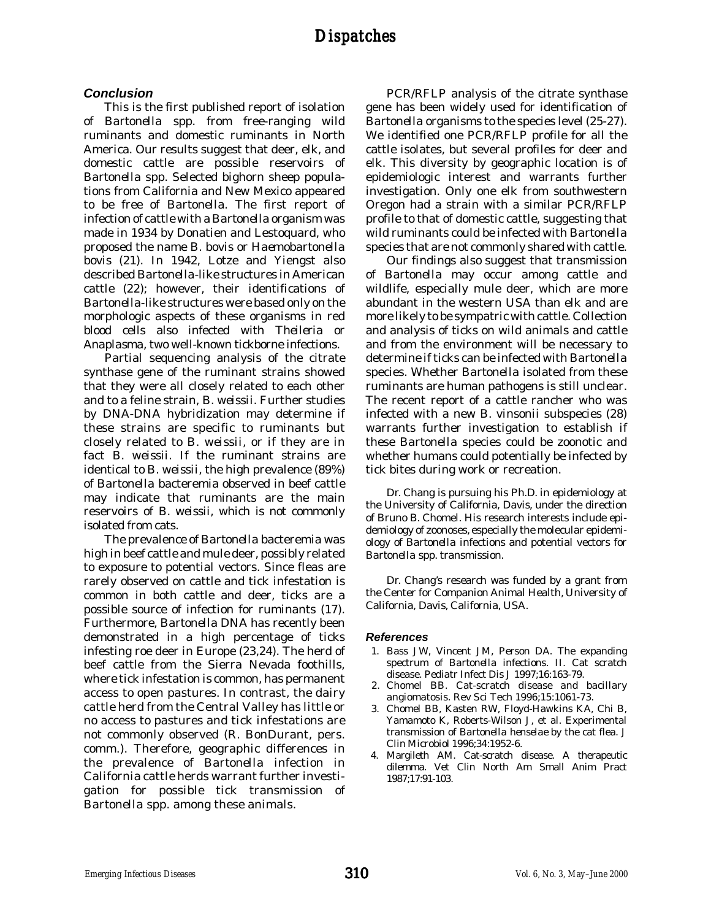#### *Conclusion*

This is the first published report of isolation of *Bartonella* spp. from free-ranging wild ruminants and domestic ruminants in North America. Our results suggest that deer, elk, and domestic cattle are possible reservoirs of *Bartonella* spp. Selected bighorn sheep populations from California and New Mexico appeared to be free of *Bartonella*. The first report of infection of cattle with a *Bartonella* organism was made in 1934 by Donatien and Lestoquard, who proposed the name *B. bovis* or *Haemobartonella bovis* (21). In 1942, Lotze and Yiengst also described *Bartonella*-like structures in American cattle (22); however, their identifications of *Bartonella*-like structures were based only on the morphologic aspects of these organisms in red blood cells also infected with *Theileria* or *Anaplasma*, two well-known tickborne infections.

Partial sequencing analysis of the citrate synthase gene of the ruminant strains showed that they were all closely related to each other and to a feline strain, *B. weissii*. Further studies by DNA-DNA hybridization may determine if these strains are specific to ruminants but closely related to *B. weissii*, or if they are in fact *B. weissii*. If the ruminant strains are identical to *B. weissii*, the high prevalence (89%) of *Bartonella* bacteremia observed in beef cattle may indicate that ruminants are the main reservoirs of *B. weissii*, which is not commonly isolated from cats.

The prevalence of *Bartonella* bacteremia was high in beef cattle and mule deer, possibly related to exposure to potential vectors. Since fleas are rarely observed on cattle and tick infestation is common in both cattle and deer, ticks are a possible source of infection for ruminants (17). Furthermore, *Bartonella* DNA has recently been demonstrated in a high percentage of ticks infesting roe deer in Europe (23,24). The herd of beef cattle from the Sierra Nevada foothills, where tick infestation is common, has permanent access to open pastures. In contrast, the dairy cattle herd from the Central Valley has little or no access to pastures and tick infestations are not commonly observed (R. BonDurant, pers. comm.). Therefore, geographic differences in the prevalence of *Bartonella* infection in California cattle herds warrant further investigation for possible tick transmission of *Bartonella* spp. among these animals.

PCR/RFLP analysis of the citrate synthase gene has been widely used for identification of *Bartonella* organisms to the species level (25-27). We identified one PCR/RFLP profile for all the cattle isolates, but several profiles for deer and elk. This diversity by geographic location is of epidemiologic interest and warrants further investigation. Only one elk from southwestern Oregon had a strain with a similar PCR/RFLP profile to that of domestic cattle, suggesting that wild ruminants could be infected with *Bartonella* species that are not commonly shared with cattle.

Our findings also suggest that transmission of *Bartonella* may occur among cattle and wildlife, especially mule deer, which are more abundant in the western USA than elk and are more likely to be sympatric with cattle. Collection and analysis of ticks on wild animals and cattle and from the environment will be necessary to determine if ticks can be infected with *Bartonella* species. Whether *Bartonella* isolated from these ruminants are human pathogens is still unclear. The recent report of a cattle rancher who was infected with a new *B. vinsonii* subspecies (28) warrants further investigation to establish if these *Bartonella* species could be zoonotic and whether humans could potentially be infected by tick bites during work or recreation.

Dr. Chang is pursuing his Ph.D. in epidemiology at the University of California, Davis, under the direction of Bruno B. Chomel. His research interests include epidemiology of zoonoses, especially the molecular epidemiology of *Bartonella* infections and potential vectors for *Bartonella* spp. transmission.

Dr. Chang's research was funded by a grant from the Center for Companion Animal Health, University of California, Davis, California, USA.

#### *References*

- 1. Bass JW, Vincent JM, Person DA. The expanding spectrum of *Bartonella* infections. II. Cat scratch disease. Pediatr Infect Dis J 1997;16:163-79.
- 2. Chomel BB. Cat-scratch disease and bacillary angiomatosis. Rev Sci Tech 1996;15:1061-73.
- 3. Chomel BB, Kasten RW, Floyd-Hawkins KA, Chi B, Yamamoto K, Roberts-Wilson J, et al. Experimental transmission of *Bartonella henselae* by the cat flea. J Clin Microbiol 1996;34:1952-6.
- 4. Margileth AM. Cat-scratch disease. A therapeutic dilemma. Vet Clin North Am Small Anim Pract 1987;17:91-103.